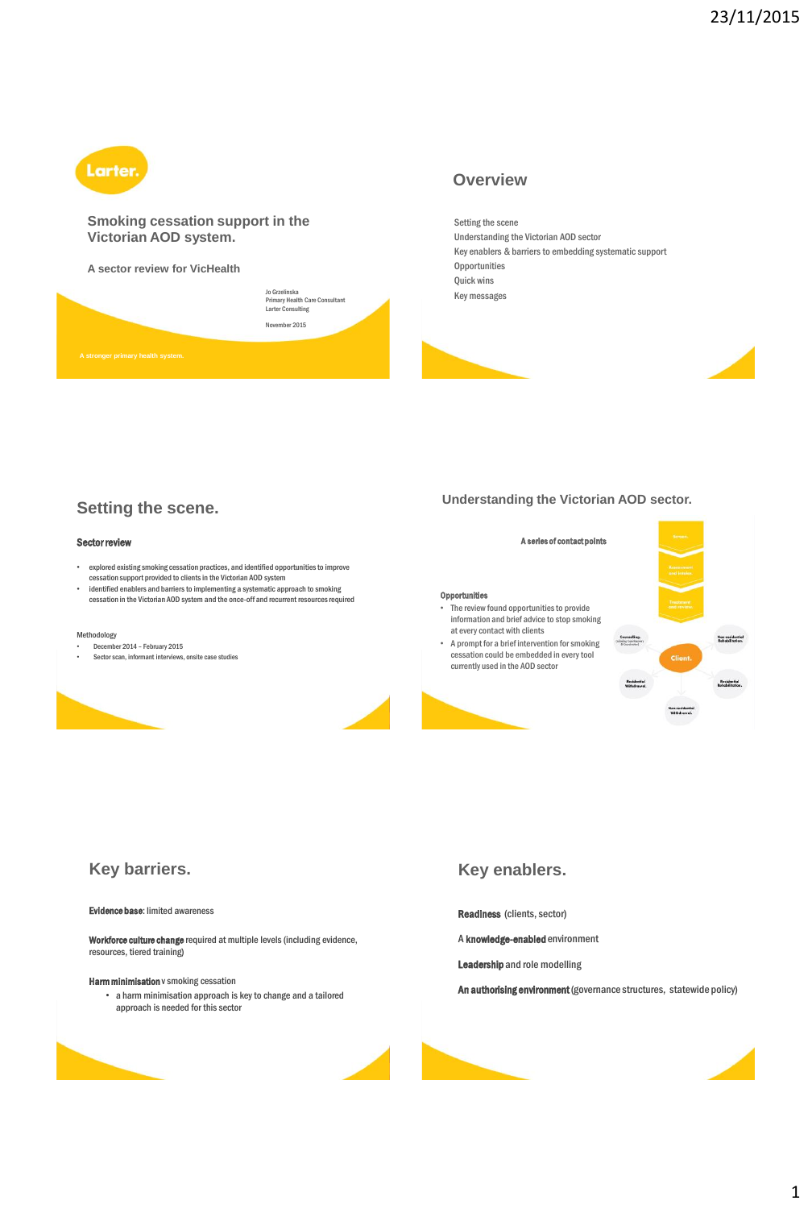

#### **Smoking cessation support in the Victorian AOD system.**

**A sector review for VicHealth**



## **Overview**

Setting the scene Understanding the Victorian AOD sector Key enablers & barriers to embedding systematic support **Opportunities** Quick wins Key messages





## **Setting the scene.**

#### Sector review

- explored existing smoking cessation practices, and identified opportunities to improve cessation support provided to clients in the Victorian AOD system
- identified enablers and barriers to implementing a systematic approach to smoking cessation in the Victorian AOD system and the once-off and recurrent resources required

#### Methodology

- December 2014 February 2015
- Sector scan, informant interviews, onsite case studies



#### **Understanding the Victorian AOD sector.**

# **Opportunities** The review found opportunities to provide

- information and brief advice to stop smoking at every contact with clients • A prompt for a brief intervention for smoking
- cessation could be embedded in every tool currently used in the AOD sector



## **Key barriers.**

#### Evidence base: limited awareness

**Workforce culture change** required at multiple levels (including evidence,<br>resources, tiered training)

#### Harm minimisation v smoking cessation

• a harm minimisation approach is key to change and a tailored approach is needed for this sector

## **Key enablers.**

Readiness (clients, sector)

- A knowledge-enabled environment
- Leadership and role modelling
- An authorising environment (governance structures, statewide policy)